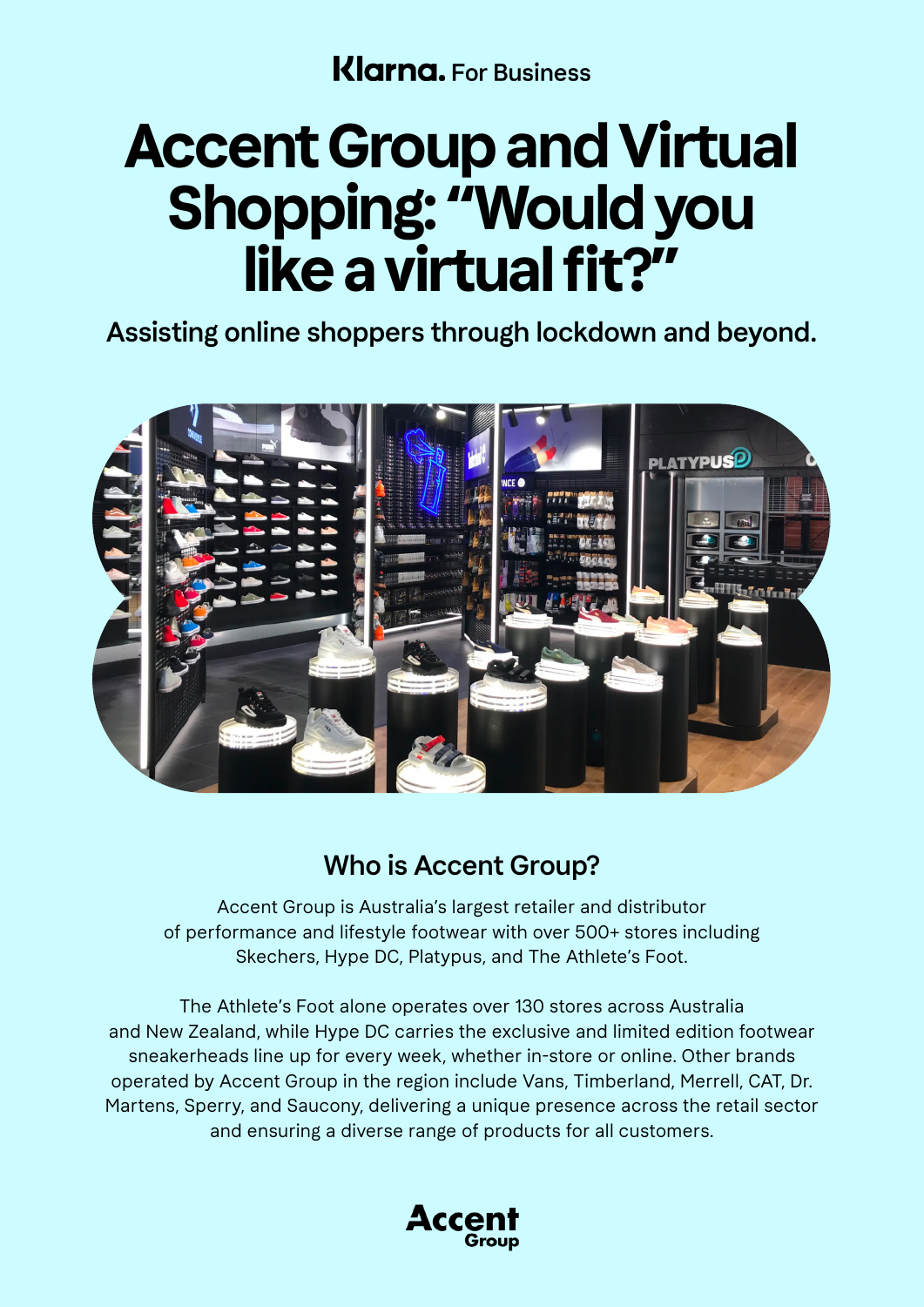**Klarna.** For Business

# **Accent Group and Virtual Shopping: "Would you like a virtual fit?"**

Assisting online shoppers through lockdown and beyond.



### Who is Accent Group?

Accent Group is Australia's largest retailer and distributor of performance and lifestyle footwear with over 500+ stores including Skechers, Hype DC, Platypus, and The Athlete's Foot.

The Athlete's Foot alone operates over 130 stores across Australia and New Zealand, while Hype DC carries the exclusive and limited edition footwear sneakerheads line up for every week, whether in-store or online. Other brands operated by Accent Group in the region include Vans, Timberland, Merrell, CAT, Dr. Martens, Sperry, and Saucony, delivering a unique presence across the retail sector and ensuring a diverse range of products for all customers.

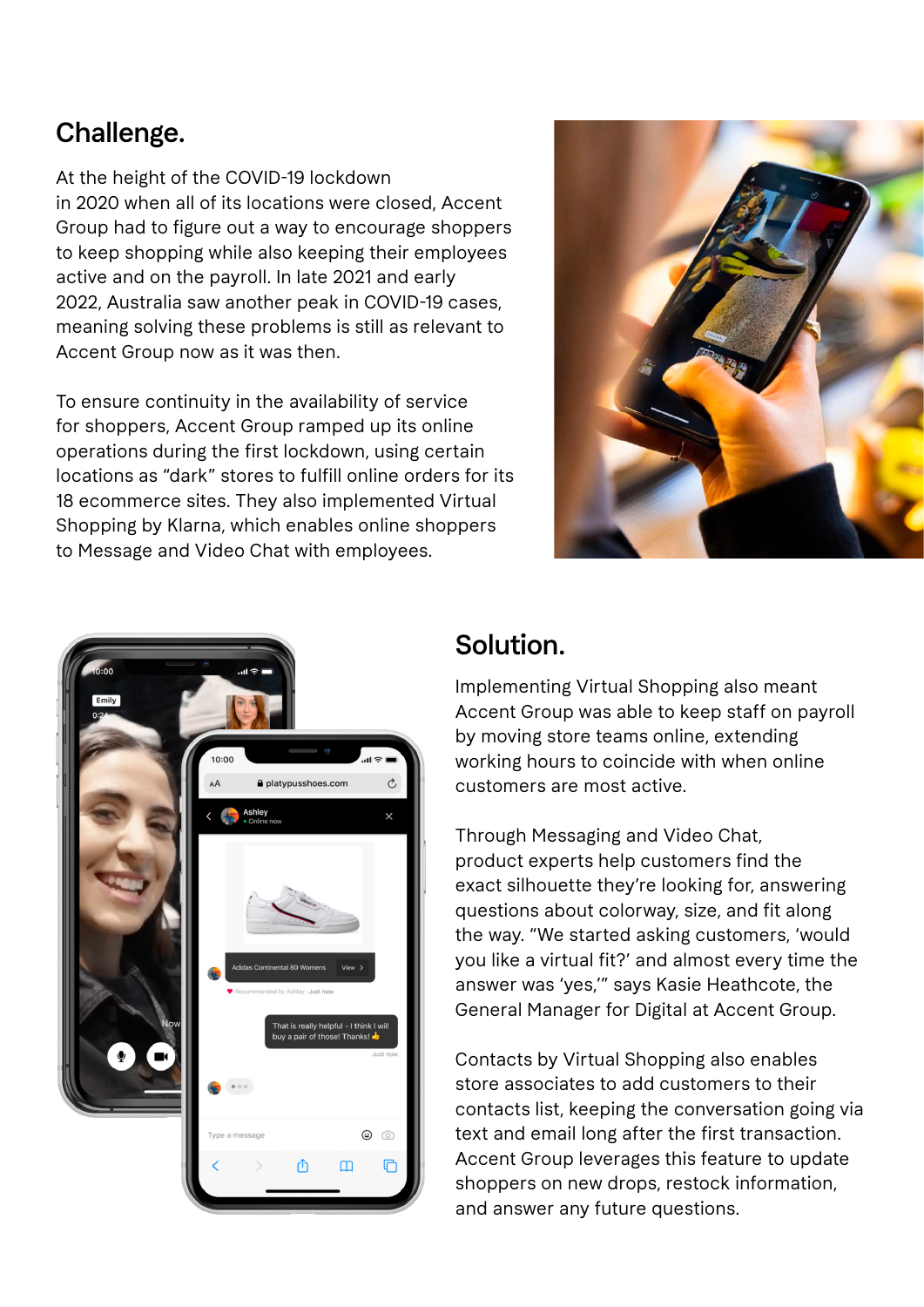### Challenge.

At the height of the COVID-19 lockdown in 2020 when all of its locations were closed, Accent Group had to figure out a way to encourage shoppers to keep shopping while also keeping their employees active and on the payroll. In late 2021 and early 2022, Australia saw another peak in COVID-19 cases, meaning solving these problems is still as relevant to Accent Group now as it was then.

To ensure continuity in the availability of service for shoppers, Accent Group ramped up its online operations during the first lockdown, using certain locations as "dark" stores to fulfill online orders for its 18 ecommerce sites. They also implemented Virtual Shopping by Klarna, which enables online shoppers to Message and Video Chat with employees.





#### Solution.

Implementing Virtual Shopping also meant Accent Group was able to keep staff on payroll by moving store teams online, extending working hours to coincide with when online customers are most active.

Through Messaging and Video Chat, product experts help customers find the exact silhouette they're looking for, answering questions about colorway, size, and fit along the way. "We started asking customers, 'would you like a virtual fit?' and almost every time the answer was 'yes,'" says Kasie Heathcote, the General Manager for Digital at Accent Group.

Contacts by Virtual Shopping also enables store associates to add customers to their contacts list, keeping the conversation going via text and email long after the first transaction. Accent Group leverages this feature to update shoppers on new drops, restock information, and answer any future questions.